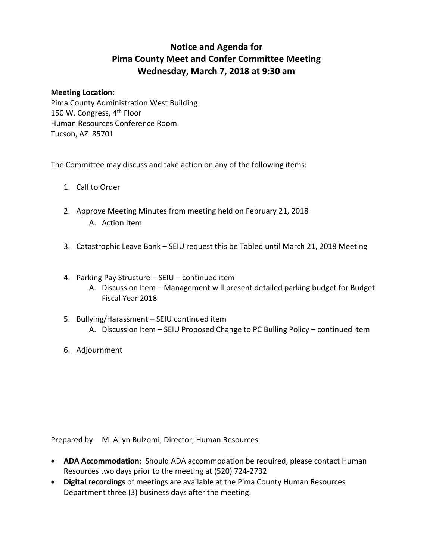## **Notice and Agenda for Pima County Meet and Confer Committee Meeting Wednesday, March 7, 2018 at 9:30 am**

## **Meeting Location:**

Pima County Administration West Building 150 W. Congress, 4<sup>th</sup> Floor Human Resources Conference Room Tucson, AZ 85701

The Committee may discuss and take action on any of the following items:

- 1. Call to Order
- 2. Approve Meeting Minutes from meeting held on February 21, 2018 A. Action Item
- 3. Catastrophic Leave Bank SEIU request this be Tabled until March 21, 2018 Meeting
- 4. Parking Pay Structure SEIU continued item
	- A. Discussion Item Management will present detailed parking budget for Budget Fiscal Year 2018
- 5. Bullying/Harassment SEIU continued item A. Discussion Item – SEIU Proposed Change to PC Bulling Policy – continued item
- 6. Adjournment

Prepared by: M. Allyn Bulzomi, Director, Human Resources

- **ADA Accommodation**: Should ADA accommodation be required, please contact Human Resources two days prior to the meeting at (520) 724-2732
- **Digital recordings** of meetings are available at the Pima County Human Resources Department three (3) business days after the meeting.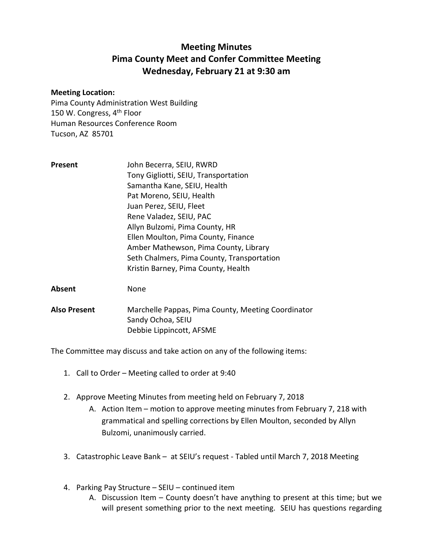## **Meeting Minutes Pima County Meet and Confer Committee Meeting Wednesday, February 21 at 9:30 am**

## **Meeting Location:**

Pima County Administration West Building 150 W. Congress, 4<sup>th</sup> Floor Human Resources Conference Room Tucson, AZ 85701

| Present | John Becerra, SEIU, RWRD                   |
|---------|--------------------------------------------|
|         | Tony Gigliotti, SEIU, Transportation       |
|         | Samantha Kane, SEIU, Health                |
|         | Pat Moreno, SEIU, Health                   |
|         | Juan Perez, SEIU, Fleet                    |
|         | Rene Valadez, SEIU, PAC                    |
|         | Allyn Bulzomi, Pima County, HR             |
|         | Ellen Moulton, Pima County, Finance        |
|         | Amber Mathewson, Pima County, Library      |
|         | Seth Chalmers, Pima County, Transportation |
|         | Kristin Barney, Pima County, Health        |
|         |                                            |

**Absent** None

**Also Present** Marchelle Pappas, Pima County, Meeting Coordinator Sandy Ochoa, SEIU Debbie Lippincott, AFSME

The Committee may discuss and take action on any of the following items:

- 1. Call to Order Meeting called to order at 9:40
- 2. Approve Meeting Minutes from meeting held on February 7, 2018
	- A. Action Item motion to approve meeting minutes from February 7, 218 with grammatical and spelling corrections by Ellen Moulton, seconded by Allyn Bulzomi, unanimously carried.
- 3. Catastrophic Leave Bank at SEIU's request Tabled until March 7, 2018 Meeting
- 4. Parking Pay Structure SEIU continued item
	- A. Discussion Item County doesn't have anything to present at this time; but we will present something prior to the next meeting. SEIU has questions regarding